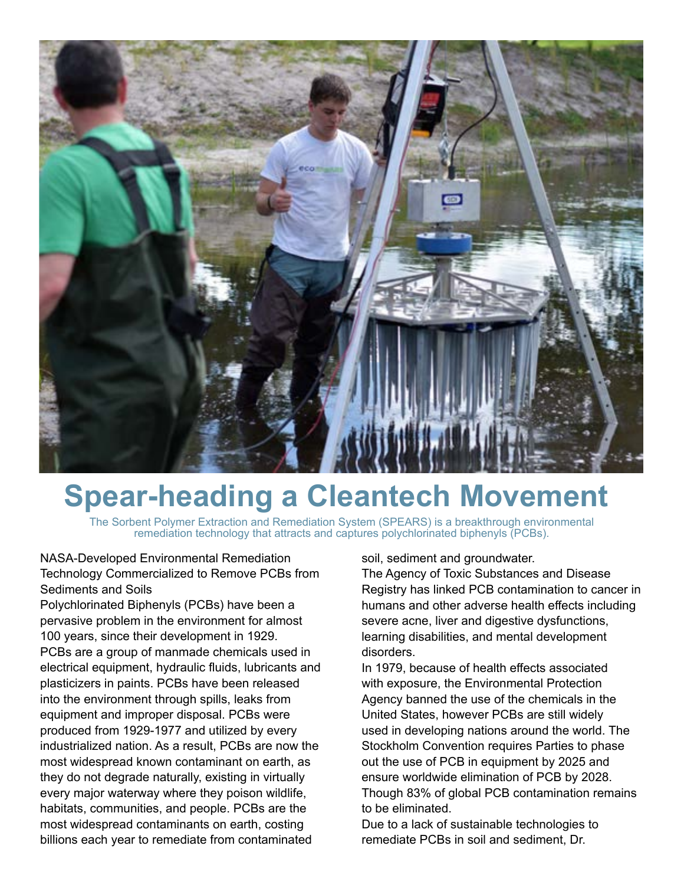

## **Spear-heading a Cleantech Movement**

The Sorbent Polymer Extraction and Remediation System (SPEARS) is a breakthrough environmental remediation technology that attracts and captures polychlorinated biphenyls (PCBs).

## NASA-Developed Environmental Remediation Technology Commercialized to Remove PCBs from Sediments and Soils

Polychlorinated Biphenyls (PCBs) have been a pervasive problem in the environment for almost 100 years, since their development in 1929. PCBs are a group of manmade chemicals used in electrical equipment, hydraulic fluids, lubricants and plasticizers in paints. PCBs have been released into the environment through spills, leaks from equipment and improper disposal. PCBs were produced from 1929-1977 and utilized by every industrialized nation. As a result, PCBs are now the most widespread known contaminant on earth, as they do not degrade naturally, existing in virtually every major waterway where they poison wildlife, habitats, communities, and people. PCBs are the most widespread contaminants on earth, costing billions each year to remediate from contaminated

soil, sediment and groundwater.

The Agency of Toxic Substances and Disease Registry has linked PCB contamination to cancer in humans and other adverse health effects including severe acne, liver and digestive dysfunctions, learning disabilities, and mental development disorders.

In 1979, because of health effects associated with exposure, the Environmental Protection Agency banned the use of the chemicals in the United States, however PCBs are still widely used in developing nations around the world. The Stockholm Convention requires Parties to phase out the use of PCB in equipment by 2025 and ensure worldwide elimination of PCB by 2028. Though 83% of global PCB contamination remains to be eliminated.

Due to a lack of sustainable technologies to remediate PCBs in soil and sediment, Dr.